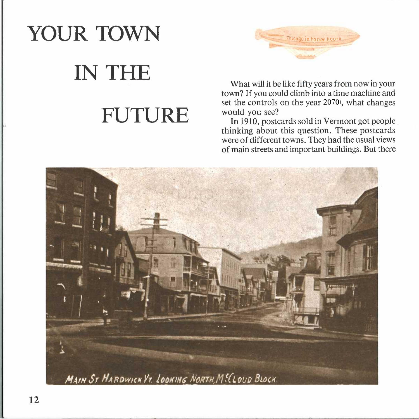## YOUR TOWN **IN THE FUTURE**



What will it be like fifty years from now in your town? If you could climb into a time machine and set the controls on the year 2070, what changes would you see?

In 1910, postcards sold in Vermont got people thinking about this question. These postcards were of different towns. They had the usual views of main streets and important buildings. But there